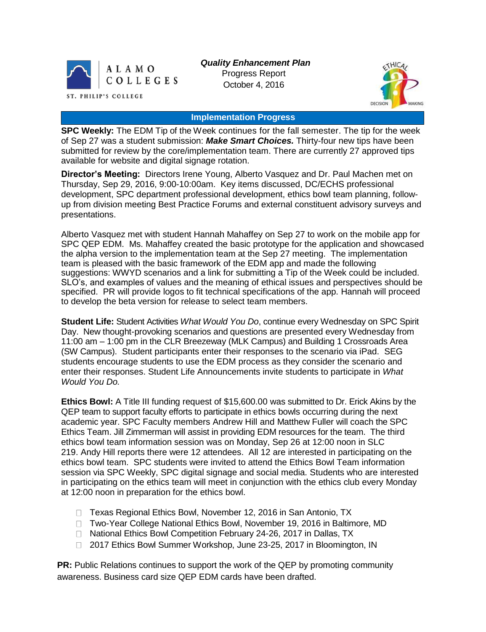

*Quality Enhancement Plan* Progress Report October 4, 2016



## **Implementation Progress**

**SPC Weekly:** The EDM Tip of the Week continues for the fall semester. The tip for the week of Sep 27 was a student submission: *Make Smart Choices.* Thirty-four new tips have been submitted for review by the core/implementation team. There are currently 27 approved tips available for website and digital signage rotation.

**Director's Meeting:** Directors Irene Young, Alberto Vasquez and Dr. Paul Machen met on Thursday, Sep 29, 2016, 9:00-10:00am. Key items discussed, DC/ECHS professional development, SPC department professional development, ethics bowl team planning, followup from division meeting Best Practice Forums and external constituent advisory surveys and presentations.

Alberto Vasquez met with student Hannah Mahaffey on Sep 27 to work on the mobile app for SPC QEP EDM. Ms. Mahaffey created the basic prototype for the application and showcased the alpha version to the implementation team at the Sep 27 meeting. The implementation team is pleased with the basic framework of the EDM app and made the following suggestions: WWYD scenarios and a link for submitting a Tip of the Week could be included. SLO's, and examples of values and the meaning of ethical issues and perspectives should be specified. PR will provide logos to fit technical specifications of the app. Hannah will proceed to develop the beta version for release to select team members.

**Student Life:** Student Activities *What Would You Do*, continue every Wednesday on SPC Spirit Day. New thought-provoking scenarios and questions are presented every Wednesday from 11:00 am – 1:00 pm in the CLR Breezeway (MLK Campus) and Building 1 Crossroads Area (SW Campus). Student participants enter their responses to the scenario via iPad. SEG students encourage students to use the EDM process as they consider the scenario and enter their responses. Student Life Announcements invite students to participate in *What Would You Do.*

**Ethics Bowl:** A Title III funding request of \$15,600.00 was submitted to Dr. Erick Akins by the QEP team to support faculty efforts to participate in ethics bowls occurring during the next academic year. SPC Faculty members Andrew Hill and Matthew Fuller will coach the SPC Ethics Team. Jill Zimmerman will assist in providing EDM resources for the team. The third ethics bowl team information session was on Monday, Sep 26 at 12:00 noon in SLC 219. Andy Hill reports there were 12 attendees. All 12 are interested in participating on the ethics bowl team. SPC students were invited to attend the Ethics Bowl Team information session via SPC Weekly, SPC digital signage and social media. Students who are interested in participating on the ethics team will meet in conjunction with the ethics club every Monday at 12:00 noon in preparation for the ethics bowl.

- □ Texas Regional Ethics Bowl, November 12, 2016 in San Antonio, TX
- □ Two-Year College National Ethics Bowl, November 19, 2016 in Baltimore, MD
- □ National Ethics Bowl Competition February 24-26, 2017 in Dallas, TX
- □ 2017 Ethics Bowl Summer Workshop, June 23-25, 2017 in Bloomington, IN

**PR:** Public Relations continues to support the work of the QEP by promoting community awareness. Business card size QEP EDM cards have been drafted.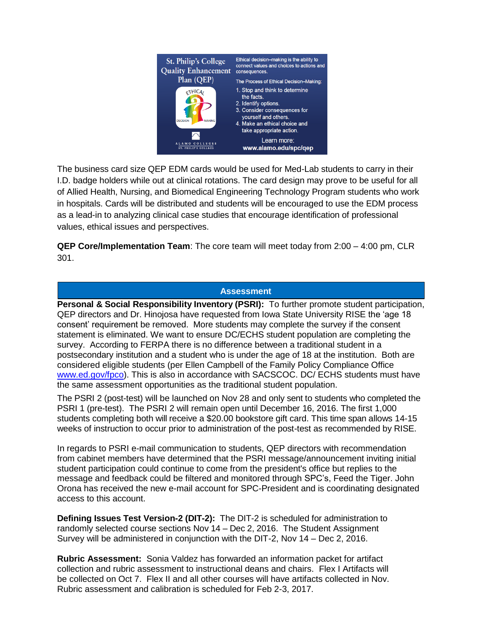

The business card size QEP EDM cards would be used for Med-Lab students to carry in their I.D. badge holders while out at clinical rotations. The card design may prove to be useful for all of Allied Health, Nursing, and Biomedical Engineering Technology Program students who work in hospitals. Cards will be distributed and students will be encouraged to use the EDM process as a lead-in to analyzing clinical case studies that encourage identification of professional values, ethical issues and perspectives.

**QEP Core/Implementation Team**: The core team will meet today from 2:00 – 4:00 pm, CLR 301.

## **Assessment**

**Personal & Social Responsibility Inventory (PSRI):** To further promote student participation, QEP directors and Dr. Hinojosa have requested from Iowa State University RISE the 'age 18 consent' requirement be removed. More students may complete the survey if the consent statement is eliminated. We want to ensure DC/ECHS student population are completing the survey. According to FERPA there is no difference between a traditional student in a postsecondary institution and a student who is under the age of 18 at the institution. Both are considered eligible students (per Ellen Campbell of the Family Policy Compliance Office [www.ed.gov/fpco\)](https://mail.alamo.edu/owa/redir.aspx?C=sXxFZN20ZCUjVpdGx3glUoQe6Tg3eoX73c8Jphfu-FKDQ7eJ1uDTCA..&URL=http%3a%2f%2fwww.ed.gov%2ffpco). This is also in accordance with SACSCOC. DC/ ECHS students must have the same assessment opportunities as the traditional student population.

The PSRI 2 (post-test) will be launched on Nov 28 and only sent to students who completed the PSRI 1 (pre-test). The PSRI 2 will remain open until December 16, 2016. The first 1,000 students completing both will receive a \$20.00 bookstore gift card. This time span allows 14-15 weeks of instruction to occur prior to administration of the post-test as recommended by RISE.

In regards to PSRI e-mail communication to students, QEP directors with recommendation from cabinet members have determined that the PSRI message/announcement inviting initial student participation could continue to come from the president's office but replies to the message and feedback could be filtered and monitored through SPC's, Feed the Tiger. John Orona has received the new e-mail account for SPC-President and is coordinating designated access to this account.

**Defining Issues Test Version-2 (DIT-2):** The DIT-2 is scheduled for administration to randomly selected course sections Nov 14 – Dec 2, 2016. The Student Assignment Survey will be administered in conjunction with the DIT-2, Nov 14 – Dec 2, 2016.

**Rubric Assessment:** Sonia Valdez has forwarded an information packet for artifact collection and rubric assessment to instructional deans and chairs. Flex I Artifacts will be collected on Oct 7. Flex II and all other courses will have artifacts collected in Nov. Rubric assessment and calibration is scheduled for Feb 2-3, 2017.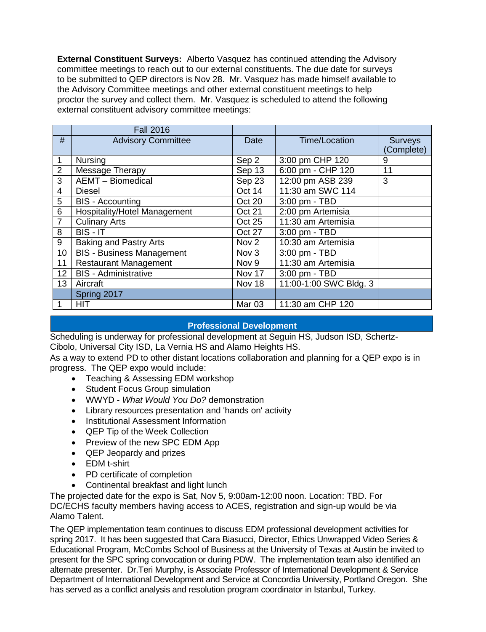**External Constituent Surveys:** Alberto Vasquez has continued attending the Advisory committee meetings to reach out to our external constituents. The due date for surveys to be submitted to QEP directors is Nov 28. Mr. Vasquez has made himself available to the Advisory Committee meetings and other external constituent meetings to help proctor the survey and collect them. Mr. Vasquez is scheduled to attend the following external constituent advisory committee meetings:

|                          | <b>Fall 2016</b>                    |                   |                        |                |
|--------------------------|-------------------------------------|-------------------|------------------------|----------------|
| #                        | <b>Advisory Committee</b>           | <b>Date</b>       | Time/Location          | <b>Surveys</b> |
|                          |                                     |                   |                        | (Complete)     |
| 1                        | <b>Nursing</b>                      | Sep 2             | 3:00 pm CHP 120        | 9              |
| $\overline{2}$           | Message Therapy                     | Sep 13            | 6:00 pm - CHP 120      | 11             |
| 3                        | <b>AEMT</b> - Biomedical            | Sep 23            | 12:00 pm ASB 239       | 3              |
| $\overline{\mathcal{A}}$ | <b>Diesel</b>                       | Oct 14            | 11:30 am SWC 114       |                |
| 5                        | <b>BIS</b> - Accounting             | Oct 20            | 3:00 pm - TBD          |                |
| 6                        | <b>Hospitality/Hotel Management</b> | <b>Oct 21</b>     | 2:00 pm Artemisia      |                |
| $\overline{7}$           | <b>Culinary Arts</b>                | Oct 25            | 11:30 am Artemisia     |                |
| 8                        | BIS - IT                            | Oct 27            | 3:00 pm - TBD          |                |
| 9                        | Baking and Pastry Arts              | Nov <sub>2</sub>  | 10:30 am Artemisia     |                |
| 10                       | <b>BIS - Business Management</b>    | Nov <sub>3</sub>  | 3:00 pm - TBD          |                |
| 11                       | <b>Restaurant Management</b>        | Nov 9             | 11:30 am Artemisia     |                |
| 12                       | <b>BIS</b> - Administrative         | Nov 17            | 3:00 pm - TBD          |                |
| 13                       | Aircraft                            | Nov 18            | 11:00-1:00 SWC Bldg. 3 |                |
|                          | Spring 2017                         |                   |                        |                |
|                          | <b>HIT</b>                          | Mar <sub>03</sub> | 11:30 am CHP 120       |                |

## **Professional Development**

Scheduling is underway for professional development at Seguin HS, Judson ISD, Schertz-Cibolo, Universal City ISD, La Vernia HS and Alamo Heights HS.

As a way to extend PD to other distant locations collaboration and planning for a QEP expo is in progress. The QEP expo would include:

- Teaching & Assessing EDM workshop
- Student Focus Group simulation
- WWYD *What Would You Do?* demonstration
- Library resources presentation and 'hands on' activity
- Institutional Assessment Information
- QEP Tip of the Week Collection
- Preview of the new SPC EDM App
- QEP Jeopardy and prizes
- EDM t-shirt
- PD certificate of completion
- Continental breakfast and light lunch

The projected date for the expo is Sat, Nov 5, 9:00am-12:00 noon. Location: TBD. For DC/ECHS faculty members having access to ACES, registration and sign-up would be via Alamo Talent.

The QEP implementation team continues to discuss EDM professional development activities for spring 2017. It has been suggested that Cara Biasucci, Director, Ethics Unwrapped Video Series & Educational Program, McCombs School of Business at the University of Texas at Austin be invited to present for the SPC spring convocation or during PDW. The implementation team also identified an alternate presenter. Dr.Teri Murphy, is Associate Professor of International Development & Service Department of International Development and Service at Concordia University, Portland Oregon. She has served as a conflict analysis and resolution program coordinator in Istanbul, Turkey.